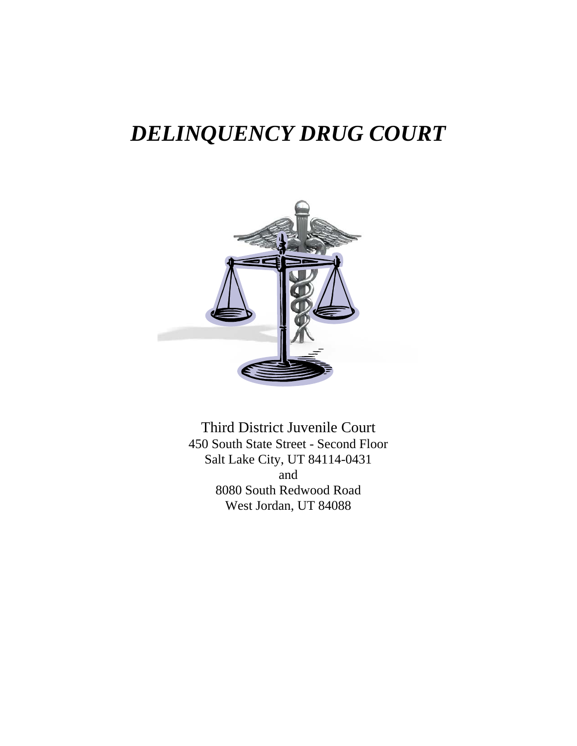## *DELINQUENCY DRUG COURT*



Third District Juvenile Court 450 South State Street - Second Floor Salt Lake City, UT 84114-0431 and 8080 South Redwood Road West Jordan, UT 84088